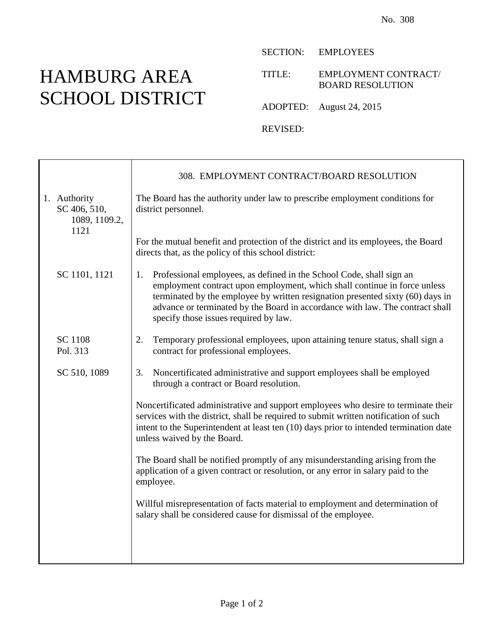## HAMBURG AREA SCHOOL DISTRICT

Τ

SECTION: EMPLOYEES

TITLE: EMPLOYMENT CONTRACT/ BOARD RESOLUTION

ADOPTED: August 24, 2015

REVISED:

|                                                       | 308. EMPLOYMENT CONTRACT/BOARD RESOLUTION                                                                                                                                                                                                                                                                                                                     |  |
|-------------------------------------------------------|---------------------------------------------------------------------------------------------------------------------------------------------------------------------------------------------------------------------------------------------------------------------------------------------------------------------------------------------------------------|--|
| 1. Authority<br>SC 406, 510,<br>1089, 1109.2,<br>1121 | The Board has the authority under law to prescribe employment conditions for<br>district personnel.<br>For the mutual benefit and protection of the district and its employees, the Board<br>directs that, as the policy of this school district:                                                                                                             |  |
|                                                       |                                                                                                                                                                                                                                                                                                                                                               |  |
| SC 1101, 1121                                         | Professional employees, as defined in the School Code, shall sign an<br>employment contract upon employment, which shall continue in force unless<br>terminated by the employee by written resignation presented sixty (60) days in<br>advance or terminated by the Board in accordance with law. The contract shall<br>specify those issues required by law. |  |
| SC 1108<br>Pol. 313                                   | 2.<br>Temporary professional employees, upon attaining tenure status, shall sign a<br>contract for professional employees.                                                                                                                                                                                                                                    |  |
| SC 510, 1089                                          | Noncertificated administrative and support employees shall be employed<br>3.<br>through a contract or Board resolution.                                                                                                                                                                                                                                       |  |
|                                                       | Noncertificated administrative and support employees who desire to terminate their<br>services with the district, shall be required to submit written notification of such<br>intent to the Superintendent at least ten (10) days prior to intended termination date<br>unless waived by the Board.                                                           |  |
|                                                       | The Board shall be notified promptly of any misunderstanding arising from the<br>application of a given contract or resolution, or any error in salary paid to the<br>employee.                                                                                                                                                                               |  |
|                                                       | Willful misrepresentation of facts material to employment and determination of<br>salary shall be considered cause for dismissal of the employee.                                                                                                                                                                                                             |  |
|                                                       |                                                                                                                                                                                                                                                                                                                                                               |  |